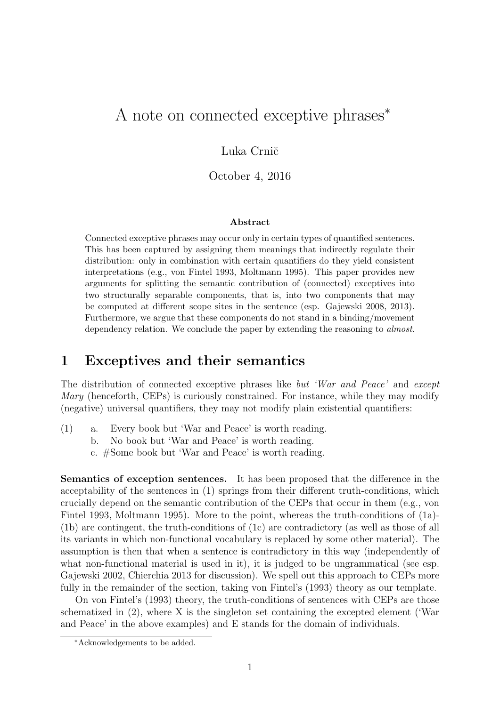# A note on connected exceptive phrases<sup>∗</sup>

#### Luka Crnič

October 4, 2016

#### Abstract

Connected exceptive phrases may occur only in certain types of quantified sentences. This has been captured by assigning them meanings that indirectly regulate their distribution: only in combination with certain quantifiers do they yield consistent interpretations (e.g., von Fintel 1993, Moltmann 1995). This paper provides new arguments for splitting the semantic contribution of (connected) exceptives into two structurally separable components, that is, into two components that may be computed at different scope sites in the sentence (esp. Gajewski 2008, 2013). Furthermore, we argue that these components do not stand in a binding/movement dependency relation. We conclude the paper by extending the reasoning to *almost*.

### 1 Exceptives and their semantics

The distribution of connected exceptive phrases like but 'War and Peace' and except Mary (henceforth, CEPs) is curiously constrained. For instance, while they may modify (negative) universal quantifiers, they may not modify plain existential quantifiers:

- (1) a. Every book but 'War and Peace' is worth reading.
	- b. No book but 'War and Peace' is worth reading.

c. #Some book but 'War and Peace' is worth reading.

Semantics of exception sentences. It has been proposed that the difference in the acceptability of the sentences in (1) springs from their different truth-conditions, which crucially depend on the semantic contribution of the CEPs that occur in them (e.g., von Fintel 1993, Moltmann 1995). More to the point, whereas the truth-conditions of (1a)- (1b) are contingent, the truth-conditions of (1c) are contradictory (as well as those of all its variants in which non-functional vocabulary is replaced by some other material). The assumption is then that when a sentence is contradictory in this way (independently of what non-functional material is used in it), it is judged to be ungrammatical (see esp. Gajewski 2002, Chierchia 2013 for discussion). We spell out this approach to CEPs more fully in the remainder of the section, taking von Fintel's (1993) theory as our template.

On von Fintel's (1993) theory, the truth-conditions of sentences with CEPs are those schematized in (2), where X is the singleton set containing the excepted element ('War and Peace' in the above examples) and E stands for the domain of individuals.

<sup>∗</sup>Acknowledgements to be added.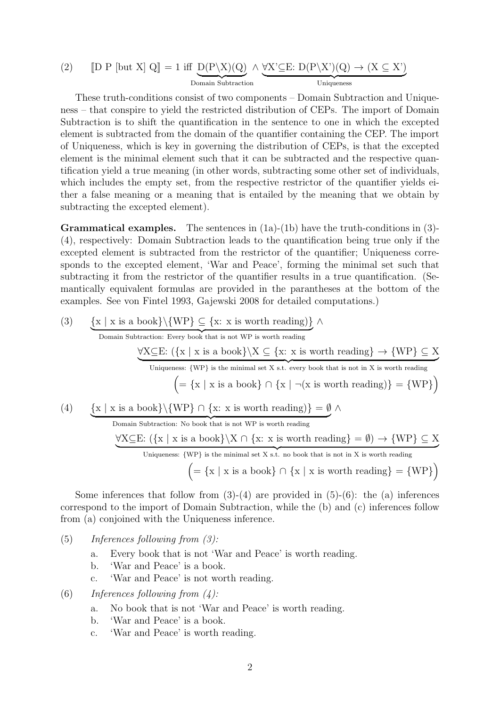(2) 
$$
[D \text{ P } [\text{but X}] \text{ Q}] = 1 \text{ iff } \underbrace{D(P \setminus X)(Q)}_{\text{Domain Subtraction}} \wedge \underbrace{\forall X' \subseteq E: D(P \setminus X')(Q) \rightarrow (X \subseteq X')}_{\text{Uniqueness}}
$$

These truth-conditions consist of two components – Domain Subtraction and Uniqueness – that conspire to yield the restricted distribution of CEPs. The import of Domain Subtraction is to shift the quantification in the sentence to one in which the excepted element is subtracted from the domain of the quantifier containing the CEP. The import of Uniqueness, which is key in governing the distribution of CEPs, is that the excepted element is the minimal element such that it can be subtracted and the respective quantification yield a true meaning (in other words, subtracting some other set of individuals, which includes the empty set, from the respective restrictor of the quantifier yields either a false meaning or a meaning that is entailed by the meaning that we obtain by subtracting the excepted element).

**Grammatical examples.** The sentences in  $(1a)-(1b)$  have the truth-conditions in  $(3)$ -(4), respectively: Domain Subtraction leads to the quantification being true only if the excepted element is subtracted from the restrictor of the quantifier; Uniqueness corresponds to the excepted element, 'War and Peace', forming the minimal set such that subtracting it from the restrictor of the quantifier results in a true quantification. (Semantically equivalent formulas are provided in the parantheses at the bottom of the examples. See von Fintel 1993, Gajewski 2008 for detailed computations.)

(3) 
$$
\underbrace{\{x \mid x \text{ is a book}\}\{WP\} \subseteq \{x : x \text{ is worth reading}\}}_{Domain \text{Subtraction: Every book that is not WP is worth reading}} \land \underbrace{\forall X \subseteq E: (\{x \mid x \text{ is a book}\} \setminus X \subseteq \{x : x \text{ is worth reading}\} \rightarrow \{WP\} \subseteq X}_{Uniqueness: \{WP\} \text{ is the minimal set } X \text{ s.t. every book that is not in } X \text{ is worth reading}}\n \left( = \{x \mid x \text{ is a book}\} \cap \{x \mid \neg(x \text{ is worth reading})\} = \{WP\}\right)
$$
\n(4) 
$$
\underbrace{\{x \mid x \text{ is a book}\}\{WP\} \cap \{x : x \text{ is worth reading}\} = \emptyset} \land \underbrace{\{X \mid X \text{ is a book}\}\{NP\} \cap \{x : x \text{ is worth reading}\}}_{Uniqueness: \{WP\} \text{ is the minimal set } X \text{ s.t. no book that is not in } X \text{ is worth reading}}\n \underbrace{\forall X \subseteq E: (\{x \mid x \text{ is a book}\} \setminus X \cap \{x : x \text{ is worth reading}\} = \emptyset) \rightarrow \{WP\} \subseteq X}_{Uniqueness: \{WP\} \text{ is the minimal set } X \text{ s.t. no book that is not in } X \text{ is worth reading}}\n \left( = \{x \mid x \text{ is a book}\} \cap \{x \mid x \text{ is worth reading}\} = \{WP\}\right)
$$

Some inferences that follow from  $(3)-(4)$  are provided in  $(5)-(6)$ : the  $(a)$  inferences correspond to the import of Domain Subtraction, while the (b) and (c) inferences follow from (a) conjoined with the Uniqueness inference.

- $(5)$  Inferences following from  $(3)$ :
	- a. Every book that is not 'War and Peace' is worth reading.
	- b. 'War and Peace' is a book.
	- c. 'War and Peace' is not worth reading.
- (6) Inferences following from  $(4)$ :
	- a. No book that is not 'War and Peace' is worth reading.
	- b. 'War and Peace' is a book.
	- c. 'War and Peace' is worth reading.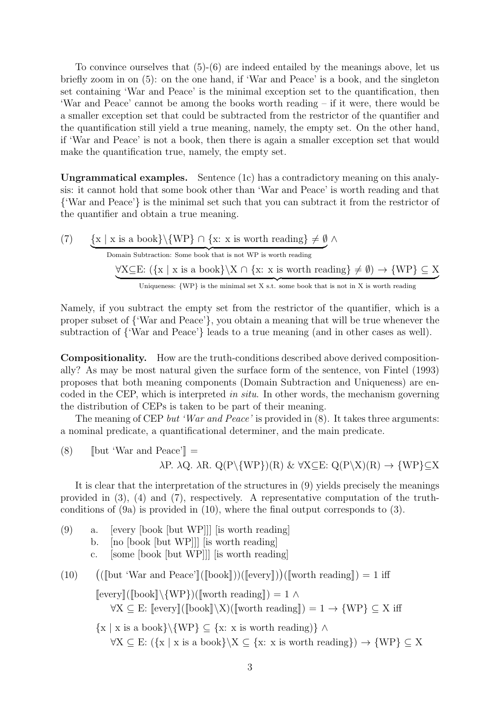To convince ourselves that (5)-(6) are indeed entailed by the meanings above, let us briefly zoom in on (5): on the one hand, if 'War and Peace' is a book, and the singleton set containing 'War and Peace' is the minimal exception set to the quantification, then 'War and Peace' cannot be among the books worth reading – if it were, there would be a smaller exception set that could be subtracted from the restrictor of the quantifier and the quantification still yield a true meaning, namely, the empty set. On the other hand, if 'War and Peace' is not a book, then there is again a smaller exception set that would make the quantification true, namely, the empty set.

Ungrammatical examples. Sentence (1c) has a contradictory meaning on this analysis: it cannot hold that some book other than 'War and Peace' is worth reading and that {'War and Peace'} is the minimal set such that you can subtract it from the restrictor of the quantifier and obtain a true meaning.

(7) 
$$
\{x \mid x \text{ is a book}\}\{WP\} \cap \{x: x \text{ is worth reading}\} \neq \emptyset \land
$$
\n\nDomain Subtraction: Some book that is not WP is worth reading\n $\forall X \subseteq E: (\{x \mid x \text{ is a book}\}\ \ X \cap \{x: x \text{ is worth reading}\} \neq \emptyset) \rightarrow \{WP\} \subseteq X$ \n\nUniqueness: {WP} is the minimal set X s.t. some book that is not in X is worth reading

Namely, if you subtract the empty set from the restrictor of the quantifier, which is a proper subset of {'War and Peace'}, you obtain a meaning that will be true whenever the subtraction of {'War and Peace'} leads to a true meaning (and in other cases as well).

Compositionality. How are the truth-conditions described above derived compositionally? As may be most natural given the surface form of the sentence, von Fintel (1993) proposes that both meaning components (Domain Subtraction and Uniqueness) are encoded in the CEP, which is interpreted in situ. In other words, the mechanism governing the distribution of CEPs is taken to be part of their meaning.

The meaning of CEP but 'War and Peace' is provided in  $(8)$ . It takes three arguments: a nominal predicate, a quantificational determiner, and the main predicate.

(8)  $\left[\text{but 'War and Peace'}\right] =$ λP. λQ. λR. Q(P\{WP})(R) & ∀X⊆E: Q(P\X)(R) → {WP}⊆X

It is clear that the interpretation of the structures in (9) yields precisely the meanings provided in (3), (4) and (7), respectively. A representative computation of the truthconditions of (9a) is provided in (10), where the final output corresponds to (3).

(9) a. [every [book [but WP]]] [is worth reading] b. [no [book [but WP]]] [is worth reading] c. [some [book [but WP]]] [is worth reading] (10)  $(\llbracket \text{but 'War and Peace'} \rrbracket(\llbracket \text{book} \rrbracket))(\llbracket \text{every} \rrbracket))(\llbracket \text{worth reading} \rrbracket) = 1$  iff  $[\text{every}]([\text{book}]\setminus \{WP\})([\text{worth reading}]) = 1 \wedge$  $\forall X \subseteq E: \llbracket \text{every} \rrbracket(\llbracket \text{book} \rrbracket \setminus X)(\llbracket \text{worth reading} \rrbracket) = 1 \rightarrow \{WP\} \subseteq X \text{ iff }$  $\{x \mid x \text{ is a book}\}\$  {WP}  $\subset \{x: x \text{ is worth reading}\}$  ^  $\forall X \subseteq E: (\{x \mid x \text{ is a book}\}\X \subseteq \{x: x \text{ is worth reading}\}) \rightarrow \{WP\} \subseteq X$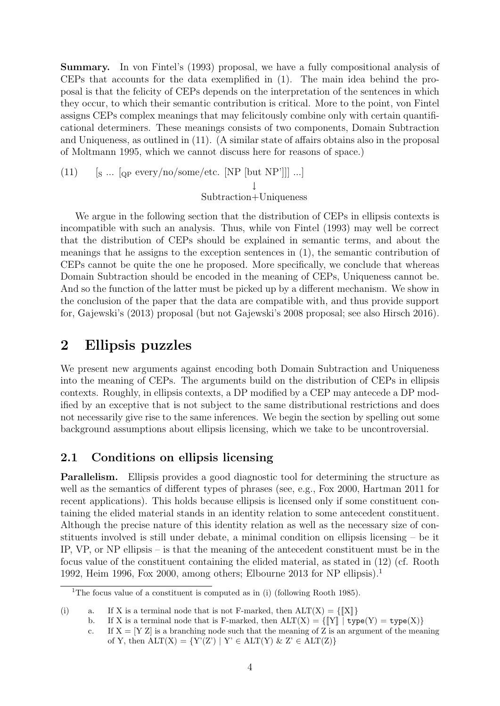Summary. In von Fintel's (1993) proposal, we have a fully compositional analysis of CEPs that accounts for the data exemplified in (1). The main idea behind the proposal is that the felicity of CEPs depends on the interpretation of the sentences in which they occur, to which their semantic contribution is critical. More to the point, von Fintel assigns CEPs complex meanings that may felicitously combine only with certain quantificational determiners. These meanings consists of two components, Domain Subtraction and Uniqueness, as outlined in (11). (A similar state of affairs obtains also in the proposal of Moltmann 1995, which we cannot discuss here for reasons of space.)

(11) 
$$
[s \dots [q_P \text{ every/no} / \text{some} / \text{etc.} \text{ [NP [but NP']]} \dots]
$$
  $\downarrow$   $\text{Subtraction+Uniqueness}$ 

We argue in the following section that the distribution of CEPs in ellipsis contexts is incompatible with such an analysis. Thus, while von Fintel (1993) may well be correct that the distribution of CEPs should be explained in semantic terms, and about the meanings that he assigns to the exception sentences in (1), the semantic contribution of CEPs cannot be quite the one he proposed. More specifically, we conclude that whereas Domain Subtraction should be encoded in the meaning of CEPs, Uniqueness cannot be. And so the function of the latter must be picked up by a different mechanism. We show in the conclusion of the paper that the data are compatible with, and thus provide support for, Gajewski's (2013) proposal (but not Gajewski's 2008 proposal; see also Hirsch 2016).

### 2 Ellipsis puzzles

We present new arguments against encoding both Domain Subtraction and Uniqueness into the meaning of CEPs. The arguments build on the distribution of CEPs in ellipsis contexts. Roughly, in ellipsis contexts, a DP modified by a CEP may antecede a DP modified by an exceptive that is not subject to the same distributional restrictions and does not necessarily give rise to the same inferences. We begin the section by spelling out some background assumptions about ellipsis licensing, which we take to be uncontroversial.

### 2.1 Conditions on ellipsis licensing

Parallelism. Ellipsis provides a good diagnostic tool for determining the structure as well as the semantics of different types of phrases (see, e.g., Fox 2000, Hartman 2011 for recent applications). This holds because ellipsis is licensed only if some constituent containing the elided material stands in an identity relation to some antecedent constituent. Although the precise nature of this identity relation as well as the necessary size of constituents involved is still under debate, a minimal condition on ellipsis licensing – be it IP, VP, or NP ellipsis – is that the meaning of the antecedent constituent must be in the focus value of the constituent containing the elided material, as stated in (12) (cf. Rooth 1992, Heim 1996, Fox 2000, among others; Elbourne 2013 for NP ellipsis).<sup>1</sup>

<sup>&</sup>lt;sup>1</sup>The focus value of a constituent is computed as in (i) (following Rooth 1985).

<sup>(</sup>i) a. If X is a terminal node that is not F-marked, then  $\text{ALT}(X) = \{\|X\|\}$ 

b. If X is a terminal node that is F-marked, then  $\text{ALT}(X) = \{ \|Y\| \mid \text{type}(Y) = \text{type}(X) \}$ 

c. If  $X = [Y Z]$  is a branching node such that the meaning of Z is an argument of the meaning of Y, then  $ALT(X) = \{Y'(Z') | Y' \in ALT(Y) \& Z' \in ALT(Z)\}\$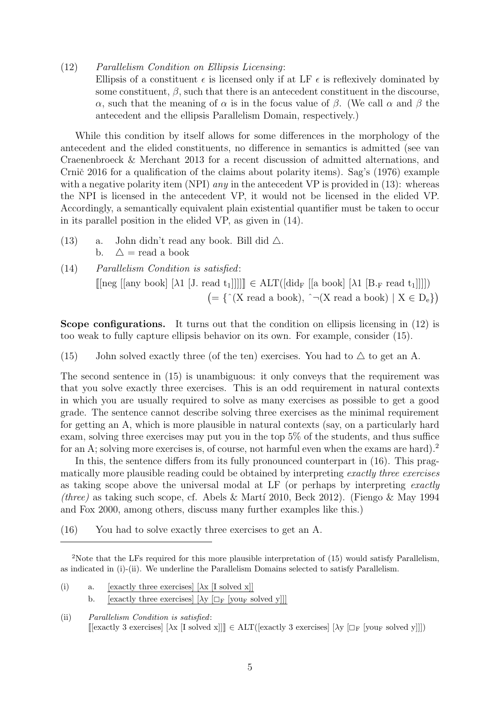(12) Parallelism Condition on Ellipsis Licensing:

Ellipsis of a constituent  $\epsilon$  is licensed only if at LF  $\epsilon$  is reflexively dominated by some constituent,  $\beta$ , such that there is an antecedent constituent in the discourse, α, such that the meaning of  $\alpha$  is in the focus value of  $\beta$ . (We call  $\alpha$  and  $\beta$  the antecedent and the ellipsis Parallelism Domain, respectively.)

While this condition by itself allows for some differences in the morphology of the antecedent and the elided constituents, no difference in semantics is admitted (see van Craenenbroeck & Merchant 2013 for a recent discussion of admitted alternations, and Crnič 2016 for a qualification of the claims about polarity items). Sag's  $(1976)$  example with a negative polarity item (NPI) *any* in the antecedent VP is provided in  $(13)$ : whereas the NPI is licensed in the antecedent VP, it would not be licensed in the elided VP. Accordingly, a semantically equivalent plain existential quantifier must be taken to occur in its parallel position in the elided VP, as given in (14).

- (13) a. John didn't read any book. Bill did  $\triangle$ . b.  $\Delta$  = read a book
- (14) Parallelism Condition is satisfied:  $\llbracket \text{neg } [\text{any book}] \; [\lambda1 \; [J. \text{ read } t_1]]]] \ll \text{ALT}([\text{did}_{F} \; [[a \; \text{book}] \; [\lambda1 \; [B_{F} \; \text{read } t_1]]]] )$  $( = {\^ \wedge}(X \text{ read a book}), \ ^ \wedge \neg(X \text{ read a book}) \mid X \in D_e)$

Scope configurations. It turns out that the condition on ellipsis licensing in (12) is too weak to fully capture ellipsis behavior on its own. For example, consider (15).

(15) John solved exactly three (of the ten) exercises. You had to  $\triangle$  to get an A.

The second sentence in (15) is unambiguous: it only conveys that the requirement was that you solve exactly three exercises. This is an odd requirement in natural contexts in which you are usually required to solve as many exercises as possible to get a good grade. The sentence cannot describe solving three exercises as the minimal requirement for getting an A, which is more plausible in natural contexts (say, on a particularly hard exam, solving three exercises may put you in the top 5% of the students, and thus suffice for an A; solving more exercises is, of course, not harmful even when the exams are hard).<sup>2</sup>

In this, the sentence differs from its fully pronounced counterpart in (16). This pragmatically more plausible reading could be obtained by interpreting exactly three exercises as taking scope above the universal modal at LF (or perhaps by interpreting exactly (three) as taking such scope, cf. Abels & Martí 2010, Beck 2012). (Fiengo & May 1994 and Fox 2000, among others, discuss many further examples like this.)

(16) You had to solve exactly three exercises to get an A.

- (i) a. [exactly three exercises]  $[\lambda x]$  [I solved x]] b. [exactly three exercises]  $[\lambda y]_{\Box_F}$  [you<sub>F</sub> solved y]]]
- (ii) Parallelism Condition is satisfied:  $[\exists \text{[exactly 3 exercises]} \; [\lambda \mathbf{x} \; [\mathbf{I} \; \mathbf{solved} \; \mathbf{x}]]] \in \text{ALT}([\text{exactly 3 exercises]} \; [\lambda \mathbf{y} \; [\Box_F \; [\text{you}_F \; \mathbf{solved} \; \mathbf{y}]]])$

<sup>&</sup>lt;sup>2</sup>Note that the LFs required for this more plausible interpretation of (15) would satisfy Parallelism, as indicated in (i)-(ii). We underline the Parallelism Domains selected to satisfy Parallelism.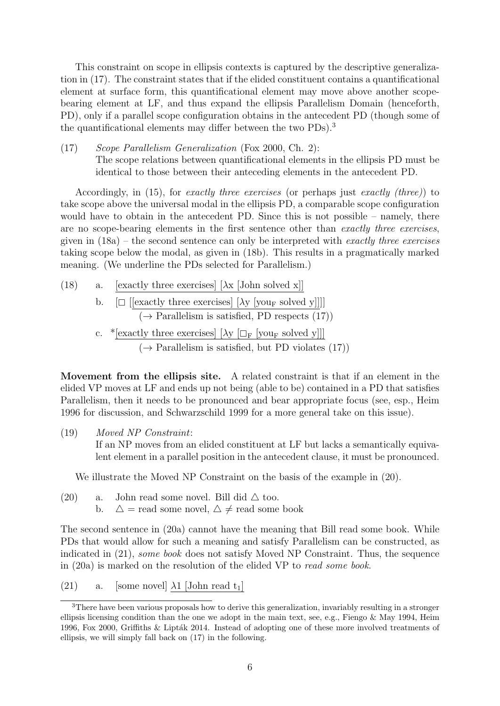This constraint on scope in ellipsis contexts is captured by the descriptive generalization in (17). The constraint states that if the elided constituent contains a quantificational element at surface form, this quantificational element may move above another scopebearing element at LF, and thus expand the ellipsis Parallelism Domain (henceforth, PD), only if a parallel scope configuration obtains in the antecedent PD (though some of the quantificational elements may differ between the two PDs).<sup>3</sup>

(17) Scope Parallelism Generalization (Fox 2000, Ch. 2): The scope relations between quantificational elements in the ellipsis PD must be identical to those between their anteceding elements in the antecedent PD.

Accordingly, in (15), for exactly three exercises (or perhaps just exactly (three)) to take scope above the universal modal in the ellipsis PD, a comparable scope configuration would have to obtain in the antecedent PD. Since this is not possible – namely, there are no scope-bearing elements in the first sentence other than exactly three exercises, given in  $(18a)$  – the second sentence can only be interpreted with exactly three exercises taking scope below the modal, as given in (18b). This results in a pragmatically marked meaning. (We underline the PDs selected for Parallelism.)

(18) a. [exactly three exercises]  $[\lambda x]$  [John solved x]] b.  $[\Box$  [[exactly three exercises]  $[\lambda y]$  [your solved y]]]]  $(\rightarrow$  Parallelism is satisfied, PD respects (17)) c. \*[exactly three exercises]  $[\lambda y \Box_F$  [you<sub>F</sub> solved y]]]  $(\rightarrow$  Parallelism is satisfied, but PD violates (17))

Movement from the ellipsis site. A related constraint is that if an element in the elided VP moves at LF and ends up not being (able to be) contained in a PD that satisfies Parallelism, then it needs to be pronounced and bear appropriate focus (see, esp., Heim 1996 for discussion, and Schwarzschild 1999 for a more general take on this issue).

(19) Moved NP Constraint:

If an NP moves from an elided constituent at LF but lacks a semantically equivalent element in a parallel position in the antecedent clause, it must be pronounced.

We illustrate the Moved NP Constraint on the basis of the example in (20).

(20) a. John read some novel. Bill did  $\triangle$  too. b.  $\Delta$  = read some novel,  $\Delta \neq$  read some book

The second sentence in (20a) cannot have the meaning that Bill read some book. While PDs that would allow for such a meaning and satisfy Parallelism can be constructed, as indicated in (21), some book does not satisfy Moved NP Constraint. Thus, the sequence in (20a) is marked on the resolution of the elided VP to read some book.

(21) a. [some novel]  $\lambda$ 1 [John read t<sub>1</sub>]

<sup>&</sup>lt;sup>3</sup>There have been various proposals how to derive this generalization, invariably resulting in a stronger ellipsis licensing condition than the one we adopt in the main text, see, e.g., Fiengo & May 1994, Heim 1996, Fox 2000, Griffiths & Lipták 2014. Instead of adopting one of these more involved treatments of ellipsis, we will simply fall back on (17) in the following.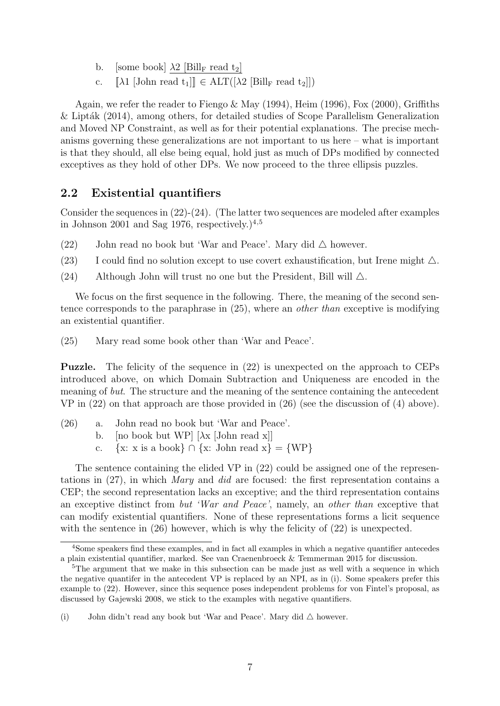- b. [some book]  $\lambda 2$  [Bill<sub>F</sub> read t<sub>2</sub>]
- c.  $[\![\lambda1\!]$  [John read  $t_1[\!] \in \text{ALT}([\lambda2\!]$ Bill<sub>F</sub> read  $t_2[\!]$ ]

Again, we refer the reader to Fiengo & May (1994), Heim (1996), Fox (2000), Griffiths  $&$  Lipták (2014), among others, for detailed studies of Scope Parallelism Generalization and Moved NP Constraint, as well as for their potential explanations. The precise mechanisms governing these generalizations are not important to us here – what is important is that they should, all else being equal, hold just as much of DPs modified by connected exceptives as they hold of other DPs. We now proceed to the three ellipsis puzzles.

#### 2.2 Existential quantifiers

Consider the sequences in  $(22)-(24)$ . (The latter two sequences are modeled after examples in Johnson 2001 and Sag 1976, respectively.) $4.5$ 

- (22) John read no book but 'War and Peace'. Mary did  $\triangle$  however.
- (23) I could find no solution except to use covert exhaustification, but Irene might  $\triangle$ .
- (24) Although John will trust no one but the President, Bill will  $\triangle$ .

We focus on the first sequence in the following. There, the meaning of the second sentence corresponds to the paraphrase in (25), where an other than exceptive is modifying an existential quantifier.

(25) Mary read some book other than 'War and Peace'.

Puzzle. The felicity of the sequence in (22) is unexpected on the approach to CEPs introduced above, on which Domain Subtraction and Uniqueness are encoded in the meaning of but. The structure and the meaning of the sentence containing the antecedent VP in (22) on that approach are those provided in (26) (see the discussion of (4) above).

- (26) a. John read no book but 'War and Peace'.
	- b. [no book but WP]  $[\lambda x \text{ [John read x]}]$
	- c.  $\{x: x \text{ is a book}\}\cap \{x: \text{ John read } x\} = \{WP\}$

The sentence containing the elided VP in (22) could be assigned one of the representations in (27), in which Mary and did are focused: the first representation contains a CEP; the second representation lacks an exceptive; and the third representation contains an exceptive distinct from but 'War and Peace', namely, an other than exceptive that can modify existential quantifiers. None of these representations forms a licit sequence with the sentence in  $(26)$  however, which is why the felicity of  $(22)$  is unexpected.

<sup>4</sup>Some speakers find these examples, and in fact all examples in which a negative quantifier antecedes a plain existential quantifier, marked. See van Craenenbroeck & Temmerman 2015 for discussion.

<sup>&</sup>lt;sup>5</sup>The argument that we make in this subsection can be made just as well with a sequence in which the negative quantifer in the antecedent VP is replaced by an NPI, as in (i). Some speakers prefer this example to (22). However, since this sequence poses independent problems for von Fintel's proposal, as discussed by Gajewski 2008, we stick to the examples with negative quantifiers.

<sup>(</sup>i) John didn't read any book but 'War and Peace'. Mary did  $\triangle$  however.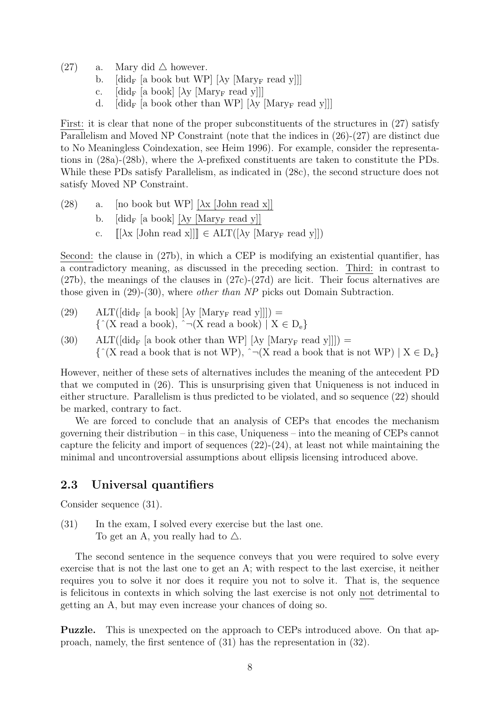- (27) a. Mary did  $\triangle$  however.
	- b.  $\left[ \text{did}_{F} \left[ \text{a book but WP} \right] \left[ \lambda y \left[ \text{Mary}_{F} \text{ read } y \right] \right] \right]$
	- c.  $\left[ \text{did}_{\mathbf{F}} \left[ \text{a book} \right] \left[ \lambda \text{y} \left[ \text{Mary}_{\mathbf{F}} \text{ read } \text{y} \right] \right] \right]$
	- d.  $\left[ \text{did}_{\text{F}} \left[ \text{a book other than WP} \right] [\lambda \text{y } [\text{Mary}_{\text{F}} \text{ read } \text{y}]] \right]$

First: it is clear that none of the proper subconstituents of the structures in (27) satisfy Parallelism and Moved NP Constraint (note that the indices in (26)-(27) are distinct due to No Meaningless Coindexation, see Heim 1996). For example, consider the representations in  $(28a)-(28b)$ , where the  $\lambda$ -prefixed constituents are taken to constitute the PDs. While these PDs satisfy Parallelism, as indicated in (28c), the second structure does not satisfy Moved NP Constraint.

- (28) a. [no book but WP]  $[\lambda x \text{ [John read x]}]$ 
	- b.  $\left[ \text{did}_{\text{F}} \left[ \text{a book} \right] \left[ \lambda \text{y} \left[ \text{Mary}_{\text{F}} \text{ read } \text{y} \right] \right] \right]$
	- c.  $[[\lambda x \, [\text{John read } x]]] \in \text{ALT}([\lambda y \, [\text{Mary}_F \, \text{read } y]])$

Second: the clause in (27b), in which a CEP is modifying an existential quantifier, has a contradictory meaning, as discussed in the preceding section. Third: in contrast to (27b), the meanings of the clauses in (27c)-(27d) are licit. Their focus alternatives are those given in (29)-(30), where other than NP picks out Domain Subtraction.

- (29) ALT( $\left[ \text{did}_{F} \left[ a \text{ book} \right] \left[ \lambda_{V} \left[ \text{Mary}_{F} \text{ read } y \right] \right] \right] \right)$  $\{\hat{X}(X \text{ read a book}), \hat{X} \} \cap (X \text{ read a book}) \mid X \in D_e\}$
- (30) ALT( $\left[\text{did}_{\text{F}}\left[\text{a book other than WP}\right]\left[\lambda_{\text{Y}}\left[\text{Mary}_{\text{F}}\right]\text{read y}\right]\right]\right]$ ) =  ${\{\hat{a}}(X \text{ read a book that is not WP}), \hat{b} \} \cap (X \text{ read a book that is not WP}) \mid X \in D_e}$

However, neither of these sets of alternatives includes the meaning of the antecedent PD that we computed in (26). This is unsurprising given that Uniqueness is not induced in either structure. Parallelism is thus predicted to be violated, and so sequence (22) should be marked, contrary to fact.

We are forced to conclude that an analysis of CEPs that encodes the mechanism governing their distribution – in this case, Uniqueness – into the meaning of CEPs cannot capture the felicity and import of sequences  $(22)-(24)$ , at least not while maintaining the minimal and uncontroversial assumptions about ellipsis licensing introduced above.

#### 2.3 Universal quantifiers

Consider sequence (31).

(31) In the exam, I solved every exercise but the last one. To get an A, you really had to  $\triangle$ .

The second sentence in the sequence conveys that you were required to solve every exercise that is not the last one to get an A; with respect to the last exercise, it neither requires you to solve it nor does it require you not to solve it. That is, the sequence is felicitous in contexts in which solving the last exercise is not only not detrimental to getting an A, but may even increase your chances of doing so.

Puzzle. This is unexpected on the approach to CEPs introduced above. On that approach, namely, the first sentence of (31) has the representation in (32).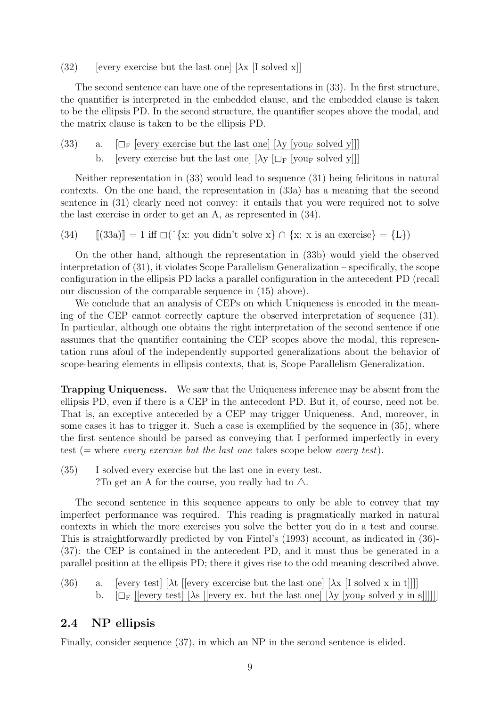(32) [every exercise but the last one]  $[\lambda x]$  [I solved x]]

The second sentence can have one of the representations in (33). In the first structure, the quantifier is interpreted in the embedded clause, and the embedded clause is taken to be the ellipsis PD. In the second structure, the quantifier scopes above the modal, and the matrix clause is taken to be the ellipsis PD.

|  | (33) a. $[\Box_F]$ [every exercise but the last one] $[\lambda y]$ [your solved y]]] |
|--|--------------------------------------------------------------------------------------|
|  | b. [every exercise but the last one] $[\lambda y \Box_F$ [your solved y]]]           |

Neither representation in (33) would lead to sequence (31) being felicitous in natural contexts. On the one hand, the representation in (33a) has a meaning that the second sentence in (31) clearly need not convey: it entails that you were required not to solve the last exercise in order to get an A, as represented in (34).

(34)  $[(33a)] = 1$  iff  $\Box(\hat{X} \times \hat{y})$  of  $\{x : x \text{ is an exercise}\} = \{L\})$ 

On the other hand, although the representation in (33b) would yield the observed interpretation of (31), it violates Scope Parallelism Generalization – specifically, the scope configuration in the ellipsis PD lacks a parallel configuration in the antecedent PD (recall our discussion of the comparable sequence in (15) above).

We conclude that an analysis of CEPs on which Uniqueness is encoded in the meaning of the CEP cannot correctly capture the observed interpretation of sequence (31). In particular, although one obtains the right interpretation of the second sentence if one assumes that the quantifier containing the CEP scopes above the modal, this representation runs afoul of the independently supported generalizations about the behavior of scope-bearing elements in ellipsis contexts, that is, Scope Parallelism Generalization.

Trapping Uniqueness. We saw that the Uniqueness inference may be absent from the ellipsis PD, even if there is a CEP in the antecedent PD. But it, of course, need not be. That is, an exceptive anteceded by a CEP may trigger Uniqueness. And, moreover, in some cases it has to trigger it. Such a case is exemplified by the sequence in (35), where the first sentence should be parsed as conveying that I performed imperfectly in every test (= where *every exercise but the last one* takes scope below *every test*).

(35) I solved every exercise but the last one in every test. ? To get an A for the course, you really had to  $\triangle$ .

The second sentence in this sequence appears to only be able to convey that my imperfect performance was required. This reading is pragmatically marked in natural contexts in which the more exercises you solve the better you do in a test and course. This is straightforwardly predicted by von Fintel's (1993) account, as indicated in (36)- (37): the CEP is contained in the antecedent PD, and it must thus be generated in a parallel position at the ellipsis PD; there it gives rise to the odd meaning described above.

(36) a. [every test] [ $\lambda t$  [[every excercise but the last one] [ $\lambda x$  [I solved x in t]]]] b.  $[\Box_F$  [[every test] [ $\lambda$ s [[every ex. but the last one] [ $\lambda$ y [you<sub>F</sub> solved y in s]]]]]]

#### 2.4 NP ellipsis

Finally, consider sequence (37), in which an NP in the second sentence is elided.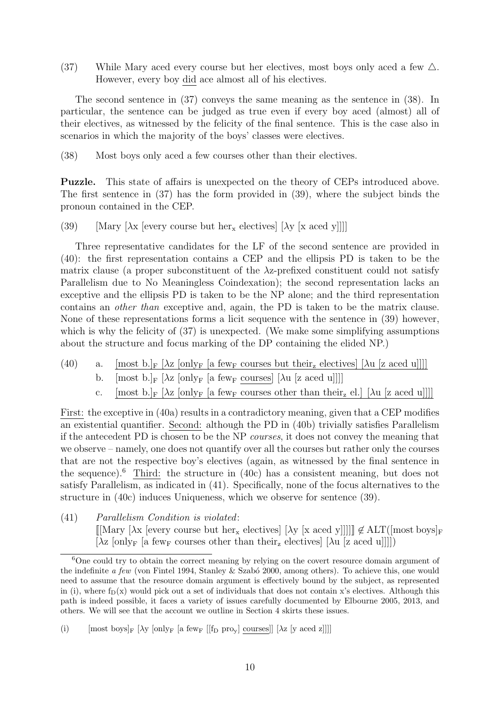(37) While Mary aced every course but her electives, most boys only aced a few  $\triangle$ . However, every boy did ace almost all of his electives.

The second sentence in (37) conveys the same meaning as the sentence in (38). In particular, the sentence can be judged as true even if every boy aced (almost) all of their electives, as witnessed by the felicity of the final sentence. This is the case also in scenarios in which the majority of the boys' classes were electives.

(38) Most boys only aced a few courses other than their electives.

Puzzle. This state of affairs is unexpected on the theory of CEPs introduced above. The first sentence in (37) has the form provided in (39), where the subject binds the pronoun contained in the CEP.

(39) [Mary  $[\lambda x]$  [every course but her<sub>x</sub> electives]  $[\lambda y]$  [x aced y]]]]

Three representative candidates for the LF of the second sentence are provided in (40): the first representation contains a CEP and the ellipsis PD is taken to be the matrix clause (a proper subconstituent of the λz-prefixed constituent could not satisfy Parallelism due to No Meaningless Coindexation); the second representation lacks an exceptive and the ellipsis PD is taken to be the NP alone; and the third representation contains an other than exceptive and, again, the PD is taken to be the matrix clause. None of these representations forms a licit sequence with the sentence in (39) however, which is why the felicity of  $(37)$  is unexpected. (We make some simplifying assumptions about the structure and focus marking of the DP containing the elided NP.)

- (40) a. [most b.]F  $[\lambda z \text{ [onlyF} \text{ [a fewF} \text{ courses but their}_z \text{ electrodes}] \text{ [Au [z acted u]]}]]$ 
	- b.  $[\text{most } b]_F$   $[\lambda z \text{ [only } F]$  a few courses  $[\lambda u \text{ [z acted } u]]]$
	- c. [most b.]<sub>F</sub>  $[\lambda z \text{ [onlyF]}$  [a few<sub>F</sub> courses other than their<sub>z</sub> el.]  $[\lambda u \text{ [z acted u]]}]$

First: the exceptive in (40a) results in a contradictory meaning, given that a CEP modifies an existential quantifier. Second: although the PD in (40b) trivially satisfies Parallelism if the antecedent PD is chosen to be the NP courses, it does not convey the meaning that we observe – namely, one does not quantify over all the courses but rather only the courses that are not the respective boy's electives (again, as witnessed by the final sentence in the sequence).<sup>6</sup> Third: the structure in  $(40c)$  has a consistent meaning, but does not satisfy Parallelism, as indicated in (41). Specifically, none of the focus alternatives to the structure in (40c) induces Uniqueness, which we observe for sentence (39).

(41) Parallelism Condition is violated:

 $[[\text{Mary }[\lambda x] \text{ every course but her}_x \text{ electrodes}][\lambda y \text{ [xaced y]]]]] \notin \text{ALT}([\text{most boys}]_F$  $[\lambda z \text{ [only] }$  [a few<sub>F</sub> courses other than their<sub>z</sub> electives]  $[\lambda u \text{ [zaced u]]}]$ 

 $6$ One could try to obtain the correct meaning by relying on the covert resource domain argument of the indefinite a few (von Fintel 1994, Stanley & Szabó 2000, among others). To achieve this, one would need to assume that the resource domain argument is effectively bound by the subject, as represented in (i), where  $f_D(x)$  would pick out a set of individuals that does not contain x's electives. Although this path is indeed possible, it faces a variety of issues carefully documented by Elbourne 2005, 2013, and others. We will see that the account we outline in Section 4 skirts these issues.

<sup>(</sup>i) [most boys]<sub>F</sub>  $[\lambda y \text{ [onlyF} \text{ [a fewF } || \text{f}_D \text{ pro}_y] \text{ courses}]$ ]  $[\lambda z \text{ [yaced z]]}]$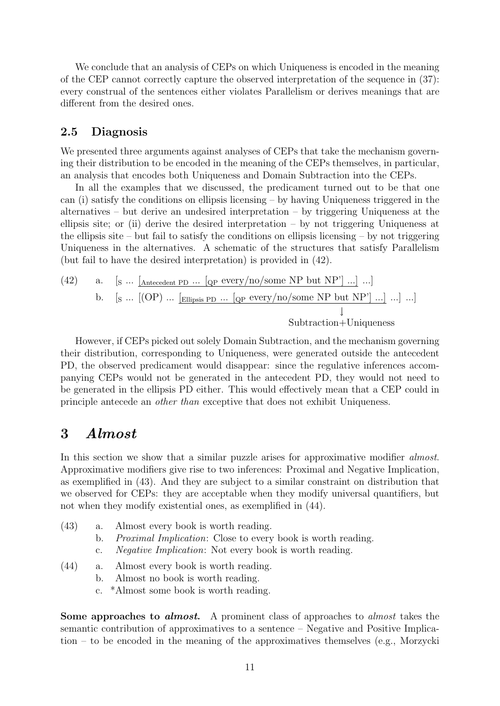We conclude that an analysis of CEPs on which Uniqueness is encoded in the meaning of the CEP cannot correctly capture the observed interpretation of the sequence in (37): every construal of the sentences either violates Parallelism or derives meanings that are different from the desired ones.

#### 2.5 Diagnosis

We presented three arguments against analyses of CEPs that take the mechanism governing their distribution to be encoded in the meaning of the CEPs themselves, in particular, an analysis that encodes both Uniqueness and Domain Subtraction into the CEPs.

In all the examples that we discussed, the predicament turned out to be that one can (i) satisfy the conditions on ellipsis licensing – by having Uniqueness triggered in the alternatives – but derive an undesired interpretation – by triggering Uniqueness at the ellipsis site; or (ii) derive the desired interpretation  $-$  by not triggering Uniqueness at the ellipsis site – but fail to satisfy the conditions on ellipsis licensing – by not triggering Uniqueness in the alternatives. A schematic of the structures that satisfy Parallelism (but fail to have the desired interpretation) is provided in (42).

(42) a. 
$$
[S \dots [A_{\text{ntecedent PD}} \dots [Q_P \text{ every/no}/\text{some NP} \text{ but NP'}] \dots ] \dots ]
$$
 b.  $[S \dots [(\text{OP}) \dots [E_{\text{llipsis PD}} \dots [Q_P \text{ every}/\text{no}/\text{some NP} \text{ but NP'}] \dots ] \dots ]$  . . .] Subtraction+Uniqueness

However, if CEPs picked out solely Domain Subtraction, and the mechanism governing their distribution, corresponding to Uniqueness, were generated outside the antecedent PD, the observed predicament would disappear: since the regulative inferences accompanying CEPs would not be generated in the antecedent PD, they would not need to be generated in the ellipsis PD either. This would effectively mean that a CEP could in principle antecede an other than exceptive that does not exhibit Uniqueness.

### 3 Almost

In this section we show that a similar puzzle arises for approximative modifier *almost*. Approximative modifiers give rise to two inferences: Proximal and Negative Implication, as exemplified in (43). And they are subject to a similar constraint on distribution that we observed for CEPs: they are acceptable when they modify universal quantifiers, but not when they modify existential ones, as exemplified in (44).

| (43) | a. Almost every book is worth reading.                                                                                                                                                                                                                                                           |
|------|--------------------------------------------------------------------------------------------------------------------------------------------------------------------------------------------------------------------------------------------------------------------------------------------------|
|      | b. <i>Proximal Implication:</i> Close to every book is worth reading.                                                                                                                                                                                                                            |
|      | <i>Negative Implication:</i> Not every book is worth reading.                                                                                                                                                                                                                                    |
| (11) | $\mathbf{A}$ and $\mathbf{A}$ and $\mathbf{A}$ and $\mathbf{A}$ and $\mathbf{A}$ and $\mathbf{A}$ and $\mathbf{A}$ and $\mathbf{A}$ and $\mathbf{A}$ and $\mathbf{A}$ and $\mathbf{A}$ and $\mathbf{A}$ and $\mathbf{A}$ and $\mathbf{A}$ and $\mathbf{A}$ and $\mathbf{A}$ and $\mathbf{A}$ and |

- (44) a. Almost every book is worth reading.
	- b. Almost no book is worth reading.
	- c. \*Almost some book is worth reading.

Some approaches to *almost*. A prominent class of approaches to *almost* takes the semantic contribution of approximatives to a sentence – Negative and Positive Implication – to be encoded in the meaning of the approximatives themselves (e.g., Morzycki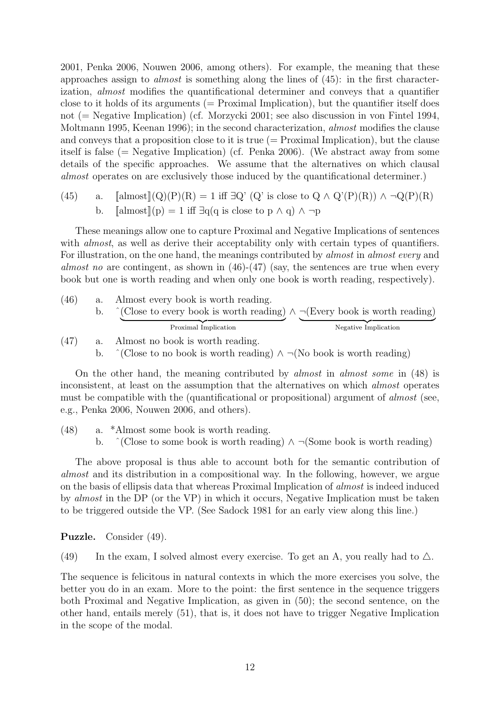2001, Penka 2006, Nouwen 2006, among others). For example, the meaning that these approaches assign to almost is something along the lines of (45): in the first characterization, almost modifies the quantificational determiner and conveys that a quantifier close to it holds of its arguments  $(=$  Proximal Implication), but the quantifier itself does not (= Negative Implication) (cf. Morzycki 2001; see also discussion in von Fintel 1994, Moltmann 1995, Keenan 1996); in the second characterization, almost modifies the clause and conveys that a proposition close to it is true  $(=$  Proximal Implication), but the clause itself is false ( $=$  Negative Implication) (cf. Penka 2006). (We abstract away from some details of the specific approaches. We assume that the alternatives on which clausal almost operates on are exclusively those induced by the quantificational determiner.)

(45) a.  $\[\text{almost}](Q)(P)(R) = 1 \text{ iff } \exists Q' \ (Q' \text{ is close to } Q \land Q'(P)(R)) \land \neg Q(P)(R)\]$ b.  $\left[\text{almost}\right](p) = 1$  iff  $\exists q(q \text{ is close to } p \land q) \land \neg p$ 

These meanings allow one to capture Proximal and Negative Implications of sentences with *almost*, as well as derive their acceptability only with certain types of quantifiers. For illustration, on the one hand, the meanings contributed by *almost* in *almost every* and almost no are contingent, as shown in  $(46)-(47)$  (say, the sentences are true when every book but one is worth reading and when only one book is worth reading, respectively).

- (46) a. Almost every book is worth reading. b.  $\hat{C}$  (Close to every book is worth reading) Proximal Implication ∧ ¬(Every book is worth reading) Negative Implication (47) a. Almost no book is worth reading.
	- b.  $\hat{C}$  (Close to no book is worth reading)  $\land \neg$ (No book is worth reading)

On the other hand, the meaning contributed by almost in almost some in (48) is inconsistent, at least on the assumption that the alternatives on which almost operates must be compatible with the (quantificational or propositional) argument of *almost* (see, e.g., Penka 2006, Nouwen 2006, and others).

(48) a. \*Almost some book is worth reading. b.  $\hat{\ }$  (Close to some book is worth reading)  $\wedge \neg$  (Some book is worth reading)

The above proposal is thus able to account both for the semantic contribution of almost and its distribution in a compositional way. In the following, however, we argue on the basis of ellipsis data that whereas Proximal Implication of almost is indeed induced by almost in the DP (or the VP) in which it occurs, Negative Implication must be taken to be triggered outside the VP. (See Sadock 1981 for an early view along this line.)

Puzzle. Consider (49).

(49) In the exam, I solved almost every exercise. To get an A, you really had to  $\triangle$ .

The sequence is felicitous in natural contexts in which the more exercises you solve, the better you do in an exam. More to the point: the first sentence in the sequence triggers both Proximal and Negative Implication, as given in (50); the second sentence, on the other hand, entails merely (51), that is, it does not have to trigger Negative Implication in the scope of the modal.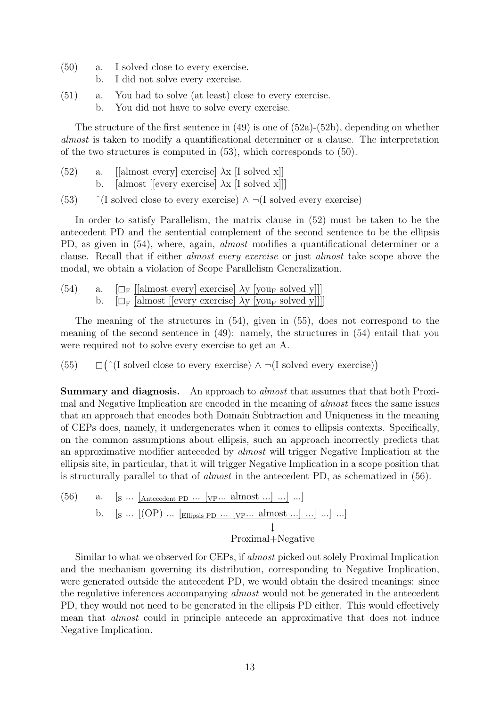- (50) a. I solved close to every exercise.
	- b. I did not solve every exercise.
- (51) a. You had to solve (at least) close to every exercise. b. You did not have to solve every exercise.

The structure of the first sentence in  $(49)$  is one of  $(52a)-(52b)$ , depending on whether almost is taken to modify a quantificational determiner or a clause. The interpretation of the two structures is computed in (53), which corresponds to (50).

- (52) a. [[almost every] exercise]  $\lambda$ x [I solved x]] b. [almost [[every exercise]  $\lambda$ x [I solved x]]]
- (53)  $\hat{ }$  (I solved close to every exercise)  $\wedge \neg (I \text{ solved every exercise})$

In order to satisfy Parallelism, the matrix clause in (52) must be taken to be the antecedent PD and the sentential complement of the second sentence to be the ellipsis PD, as given in (54), where, again, *almost* modifies a quantificational determiner or a clause. Recall that if either almost every exercise or just almost take scope above the modal, we obtain a violation of Scope Parallelism Generalization.

(54) a.  $\left[\Box_{\mathrm{F}}\right]$  [[almost every] exercise]  $\lambda$ y [you<sub>F</sub> solved y]]]<br>b.  $\left[\Box_{\mathrm{F}}\right]$  [almost [levery exercise]  $\lambda$ y [you<sub>F</sub> solved y]]]  $\left[\Box_{\mathrm{F}} \left[\text{almost }\right]$  [every exercise]  $\lambda$ y [you<sub>F</sub> solved y]]]]

The meaning of the structures in (54), given in (55), does not correspond to the meaning of the second sentence in (49): namely, the structures in (54) entail that you were required not to solve every exercise to get an A.

(55)  $($   $($ [ solved close to every exercise) ∧  $\neg$ (I solved every exercise))

Summary and diagnosis. An approach to *almost* that assumes that that both Proximal and Negative Implication are encoded in the meaning of almost faces the same issues that an approach that encodes both Domain Subtraction and Uniqueness in the meaning of CEPs does, namely, it undergenerates when it comes to ellipsis contexts. Specifically, on the common assumptions about ellipsis, such an approach incorrectly predicts that an approximative modifier anteceded by almost will trigger Negative Implication at the ellipsis site, in particular, that it will trigger Negative Implication in a scope position that is structurally parallel to that of almost in the antecedent PD, as schematized in (56).

(56) a. 
$$
[S \cdots \underline{A}_{n\text{tecedent PD}} \cdots [VP \cdots \underline{a} \underline{I} \underline{m} \underline{b}_{n\text{t}} \cdots] \cdots]
$$
 b.  $[S \cdots [OP] \cdots \underline{E}_{\text{llipsis PD}} \cdots [VP \cdots \underline{a} \underline{I} \underline{m} \underline{b}_{n\text{t}} \cdots] \cdots]$   $\downarrow$   $Proximal+Negative$ 

Similar to what we observed for CEPs, if almost picked out solely Proximal Implication and the mechanism governing its distribution, corresponding to Negative Implication, were generated outside the antecedent PD, we would obtain the desired meanings: since the regulative inferences accompanying almost would not be generated in the antecedent PD, they would not need to be generated in the ellipsis PD either. This would effectively mean that almost could in principle antecede an approximative that does not induce Negative Implication.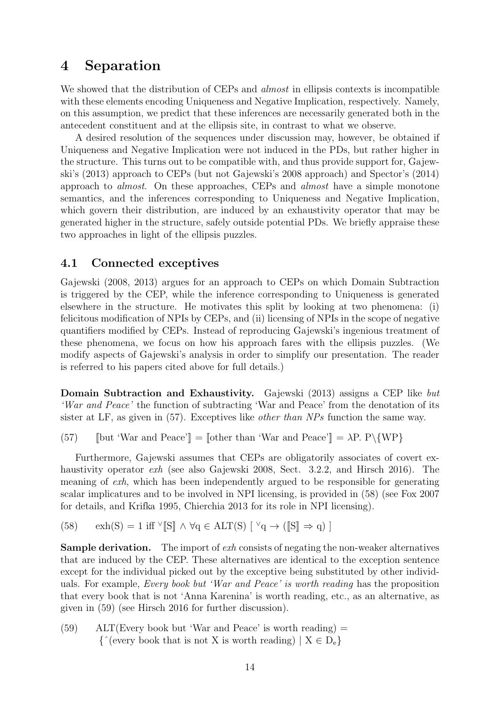## 4 Separation

We showed that the distribution of CEPs and *almost* in ellipsis contexts is incompatible with these elements encoding Uniqueness and Negative Implication, respectively. Namely, on this assumption, we predict that these inferences are necessarily generated both in the antecedent constituent and at the ellipsis site, in contrast to what we observe.

A desired resolution of the sequences under discussion may, however, be obtained if Uniqueness and Negative Implication were not induced in the PDs, but rather higher in the structure. This turns out to be compatible with, and thus provide support for, Gajewski's (2013) approach to CEPs (but not Gajewski's 2008 approach) and Spector's (2014) approach to almost. On these approaches, CEPs and almost have a simple monotone semantics, and the inferences corresponding to Uniqueness and Negative Implication, which govern their distribution, are induced by an exhaustivity operator that may be generated higher in the structure, safely outside potential PDs. We briefly appraise these two approaches in light of the ellipsis puzzles.

#### 4.1 Connected exceptives

Gajewski (2008, 2013) argues for an approach to CEPs on which Domain Subtraction is triggered by the CEP, while the inference corresponding to Uniqueness is generated elsewhere in the structure. He motivates this split by looking at two phenomena: (i) felicitous modification of NPIs by CEPs, and (ii) licensing of NPIs in the scope of negative quantifiers modified by CEPs. Instead of reproducing Gajewski's ingenious treatment of these phenomena, we focus on how his approach fares with the ellipsis puzzles. (We modify aspects of Gajewski's analysis in order to simplify our presentation. The reader is referred to his papers cited above for full details.)

Domain Subtraction and Exhaustivity. Gajewski (2013) assigns a CEP like but 'War and Peace' the function of subtracting 'War and Peace' from the denotation of its sister at LF, as given in (57). Exceptives like *other than NPs* function the same way.

(57) [but 'War and Peace']] = [[other than 'War and Peace']] =  $\lambda$ P. P $\{WP\}$ 

Furthermore, Gajewski assumes that CEPs are obligatorily associates of covert exhaustivity operator *exh* (see also Gajewski 2008, Sect. 3.2.2, and Hirsch 2016). The meaning of exh, which has been independently argued to be responsible for generating scalar implicatures and to be involved in NPI licensing, is provided in (58) (see Fox 2007 for details, and Krifka 1995, Chierchia 2013 for its role in NPI licensing).

(58)  $\operatorname{exh}(S) = 1$  iff  $\vee$ [S]  $\wedge \forall q \in \operatorname{ALT}(S)$   $[\vee q \rightarrow (\llbracket S \rrbracket \Rightarrow q)$ ]

Sample derivation. The import of exh consists of negating the non-weaker alternatives that are induced by the CEP. These alternatives are identical to the exception sentence except for the individual picked out by the exceptive being substituted by other individuals. For example, Every book but 'War and Peace' is worth reading has the proposition that every book that is not 'Anna Karenina' is worth reading, etc., as an alternative, as given in (59) (see Hirsch 2016 for further discussion).

 $(59)$  ALT(Every book but 'War and Peace' is worth reading) =  ${\uparrow}$  (every book that is not X is worth reading)  $| X \in D_e$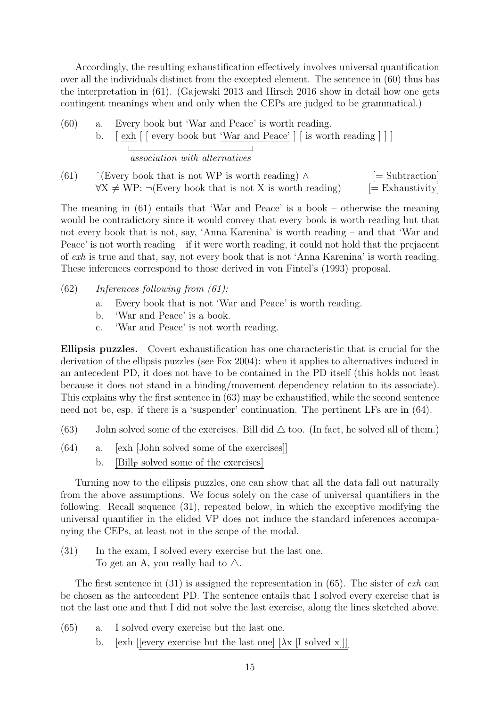Accordingly, the resulting exhaustification effectively involves universal quantification over all the individuals distinct from the excepted element. The sentence in (60) thus has the interpretation in (61). (Gajewski 2013 and Hirsch 2016 show in detail how one gets contingent meanings when and only when the CEPs are judged to be grammatical.)

(60) a. Every book but 'War and Peace' is worth reading. b. [ exh [ [ every book but 'War and Peace' ] [ is worth reading ] ] ]  $\sim$  1 association with alternatives

(61)  $\hat{ }$  ∈ Subtraction (Every book that is not WP is worth reading)  $\wedge$  [= Subtraction]  $\forall X \neq \text{WP}: \neg(\text{Every book that is not X is worth reading})$  [= Exhaustivity]

The meaning in (61) entails that 'War and Peace' is a book – otherwise the meaning would be contradictory since it would convey that every book is worth reading but that not every book that is not, say, 'Anna Karenina' is worth reading – and that 'War and Peace' is not worth reading – if it were worth reading, it could not hold that the prejacent of exh is true and that, say, not every book that is not 'Anna Karenina' is worth reading. These inferences correspond to those derived in von Fintel's (1993) proposal.

- $(62)$  Inferences following from  $(61)$ :
	- a. Every book that is not 'War and Peace' is worth reading.
	- b. 'War and Peace' is a book.
	- c. 'War and Peace' is not worth reading.

Ellipsis puzzles. Covert exhaustification has one characteristic that is crucial for the derivation of the ellipsis puzzles (see Fox 2004): when it applies to alternatives induced in an antecedent PD, it does not have to be contained in the PD itself (this holds not least because it does not stand in a binding/movement dependency relation to its associate). This explains why the first sentence in (63) may be exhaustified, while the second sentence need not be, esp. if there is a 'suspender' continuation. The pertinent LFs are in (64).

- (63) John solved some of the exercises. Bill did  $\triangle$  too. (In fact, he solved all of them.)
- (64) a. [exh [John solved some of the exercises]] b.  $[Bill_F]$  solved some of the exercises

Turning now to the ellipsis puzzles, one can show that all the data fall out naturally from the above assumptions. We focus solely on the case of universal quantifiers in the following. Recall sequence (31), repeated below, in which the exceptive modifying the universal quantifier in the elided VP does not induce the standard inferences accompanying the CEPs, at least not in the scope of the modal.

(31) In the exam, I solved every exercise but the last one. To get an A, you really had to  $\triangle$ .

The first sentence in (31) is assigned the representation in (65). The sister of  $exh$  can be chosen as the antecedent PD. The sentence entails that I solved every exercise that is not the last one and that I did not solve the last exercise, along the lines sketched above.

- (65) a. I solved every exercise but the last one.
	- b. [exh [[every exercise but the last one]  $[\lambda x]$  [I solved x]]]]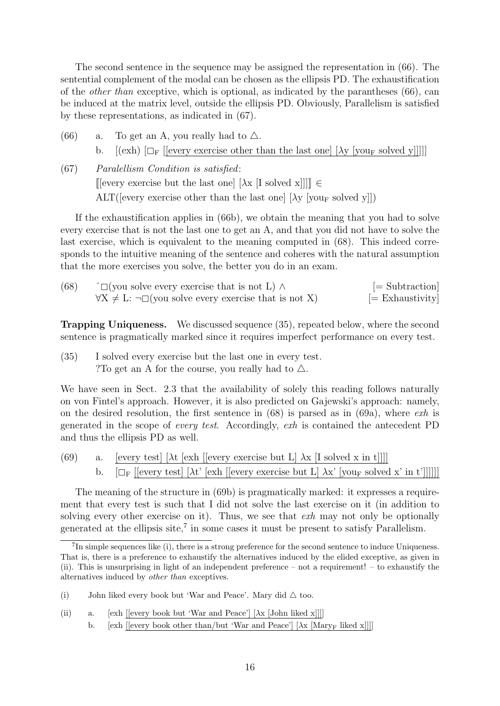The second sentence in the sequence may be assigned the representation in (66). The sentential complement of the modal can be chosen as the ellipsis PD. The exhaustification of the *other than* exceptive, which is optional, as indicated by the parantheses  $(66)$ , can be induced at the matrix level, outside the ellipsis PD. Obviously, Parallelism is satisfied by these representations, as indicated in (67).

- (66) a. To get an A, you really had to  $\triangle$ . b.  $[(exh) \Box_F]$  [every exercise other than the last one]  $[\lambda y \Box_F]$  solved y]]]]
- (67) Paralellism Condition is satisfied: [[every exercise but the last one]  $[\lambda x]$  [I solved x]]]]  $\in$ ALT([every exercise other than the last one]  $[\lambda v]$  [vour solved y]])

If the exhaustification applies in (66b), we obtain the meaning that you had to solve every exercise that is not the last one to get an A, and that you did not have to solve the last exercise, which is equivalent to the meaning computed in (68). This indeed corresponds to the intuitive meaning of the sentence and coheres with the natural assumption that the more exercises you solve, the better you do in an exam.

| (68) | $\hat{C}$ (you solve every exercise that is not L) $\wedge$            | $=$ Subtraction   |
|------|------------------------------------------------------------------------|-------------------|
|      | $\forall X \neq L: \neg \Box$ (you solve every exercise that is not X) | $[=$ Exhaustivity |

Trapping Uniqueness. We discussed sequence (35), repeated below, where the second sentence is pragmatically marked since it requires imperfect performance on every test.

(35) I solved every exercise but the last one in every test. ?To get an A for the course, you really had to  $\triangle$ .

We have seen in Sect. 2.3 that the availability of solely this reading follows naturally on von Fintel's approach. However, it is also predicted on Gajewski's approach: namely, on the desired resolution, the first sentence in  $(68)$  is parsed as in  $(69a)$ , where  $exh$  is generated in the scope of every test. Accordingly, exh is contained the antecedent PD and thus the ellipsis PD as well.

(69) a. [every test]  $\lambda t$  [exh [[every exercise but L]  $\lambda x$  [I solved x in t]]]] b.  $[\Box_F$  [[every test]  $[\lambda t'$  [exh [[every exercise but L]  $\lambda x'$  [your solved x' in t']]]]]]

The meaning of the structure in (69b) is pragmatically marked: it expresses a requirement that every test is such that I did not solve the last exercise on it (in addition to solving every other exercise on it). Thus, we see that *exh* may not only be optionally generated at the ellipsis site,<sup>7</sup> in some cases it must be present to satisfy Parallelism.

b. [exh [[every book other than/but 'War and Peace']  $[\lambda x \text{ [MaryF] likely}]$ 

 ${}^{7}$ In simple sequences like (i), there is a strong preference for the second sentence to induce Uniqueness. That is, there is a preference to exhaustify the alternatives induced by the elided exceptive, as given in (ii). This is unsurprising in light of an independent preference – not a requirement! – to exhaustify the alternatives induced by other than exceptives.

<sup>(</sup>i) John liked every book but 'War and Peace'. Mary did  $\triangle$  too.

<sup>(</sup>ii) a. [exh [[every book but 'War and Peace']  $[\lambda x \text{ [John liked x]]}]$ ]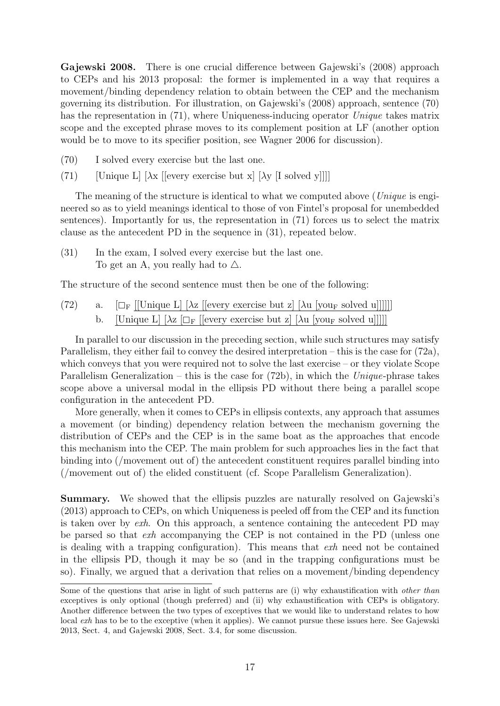Gajewski 2008. There is one crucial difference between Gajewski's (2008) approach to CEPs and his 2013 proposal: the former is implemented in a way that requires a movement/binding dependency relation to obtain between the CEP and the mechanism governing its distribution. For illustration, on Gajewski's (2008) approach, sentence (70) has the representation in (71), where Uniqueness-inducing operator Unique takes matrix scope and the excepted phrase moves to its complement position at LF (another option would be to move to its specifier position, see Wagner 2006 for discussion).

- (70) I solved every exercise but the last one.
- (71) [Unique L]  $[\lambda x$  [[every exercise but x]  $[\lambda y$  [I solved y]]]]

The meaning of the structure is identical to what we computed above (*Unique* is engineered so as to yield meanings identical to those of von Fintel's proposal for unembedded sentences). Importantly for us, the representation in (71) forces us to select the matrix clause as the antecedent PD in the sequence in (31), repeated below.

(31) In the exam, I solved every exercise but the last one. To get an A, you really had to  $\triangle$ .

The structure of the second sentence must then be one of the following:

(72) a. [<sup>F</sup> [[Unique L] [λ<sup>z</sup> [[every exercise but z] [λ<sup>u</sup> [you<sup>F</sup> solved u]]]]]] [Unique L]  $\lceil \lambda z \rceil_{\text{CF}}$  [[every exercise but z]  $\lceil \lambda u \rceil_{\text{VOLF}}$  solved u]]]]]

In parallel to our discussion in the preceding section, while such structures may satisfy Parallelism, they either fail to convey the desired interpretation – this is the case for (72a), which conveys that you were required not to solve the last exercise – or they violate Scope Parallelism Generalization – this is the case for  $(72b)$ , in which the Unique-phrase takes scope above a universal modal in the ellipsis PD without there being a parallel scope configuration in the antecedent PD.

More generally, when it comes to CEPs in ellipsis contexts, any approach that assumes a movement (or binding) dependency relation between the mechanism governing the distribution of CEPs and the CEP is in the same boat as the approaches that encode this mechanism into the CEP. The main problem for such approaches lies in the fact that binding into (/movement out of) the antecedent constituent requires parallel binding into (/movement out of) the elided constituent (cf. Scope Parallelism Generalization).

Summary. We showed that the ellipsis puzzles are naturally resolved on Gajewski's (2013) approach to CEPs, on which Uniqueness is peeled off from the CEP and its function is taken over by  $exh$ . On this approach, a sentence containing the antecedent PD may be parsed so that exh accompanying the CEP is not contained in the PD (unless one is dealing with a trapping configuration). This means that exh need not be contained in the ellipsis PD, though it may be so (and in the trapping configurations must be so). Finally, we argued that a derivation that relies on a movement/binding dependency

Some of the questions that arise in light of such patterns are (i) why exhaustification with *other than* exceptives is only optional (though preferred) and (ii) why exhaustification with CEPs is obligatory. Another difference between the two types of exceptives that we would like to understand relates to how local *exh* has to be to the exceptive (when it applies). We cannot pursue these issues here. See Gajewski 2013, Sect. 4, and Gajewski 2008, Sect. 3.4, for some discussion.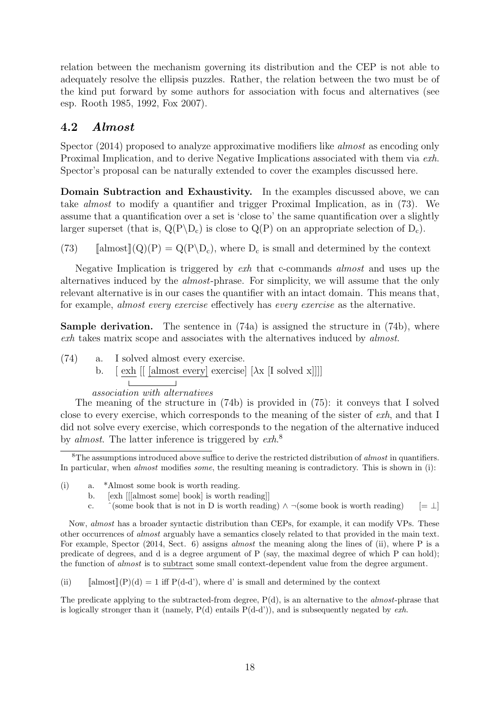relation between the mechanism governing its distribution and the CEP is not able to adequately resolve the ellipsis puzzles. Rather, the relation between the two must be of the kind put forward by some authors for association with focus and alternatives (see esp. Rooth 1985, 1992, Fox 2007).

### 4.2 Almost

Spector (2014) proposed to analyze approximative modifiers like *almost* as encoding only Proximal Implication, and to derive Negative Implications associated with them via exh. Spector's proposal can be naturally extended to cover the examples discussed here.

Domain Subtraction and Exhaustivity. In the examples discussed above, we can take almost to modify a quantifier and trigger Proximal Implication, as in (73). We assume that a quantification over a set is 'close to' the same quantification over a slightly larger superset (that is,  $Q(P \backslash D_c)$  is close to  $Q(P)$  on an appropriate selection of  $D_c$ ).

(73)  $\[\text{almost}](Q)(P) = Q(P \backslash D_c), \text{where } D_c \text{ is small and determined by the context}\]$ 

Negative Implication is triggered by exh that c-commands almost and uses up the alternatives induced by the almost-phrase. For simplicity, we will assume that the only relevant alternative is in our cases the quantifier with an intact domain. This means that, for example, almost every exercise effectively has every exercise as the alternative.

**Sample derivation.** The sentence in  $(74a)$  is assigned the structure in  $(74b)$ , where exh takes matrix scope and associates with the alternatives induced by almost.

- (74) a. I solved almost every exercise.
	- b.  $\left[\begin{array}{c|c|c}\exp\end{array}\right]$  [almost every] exercise]  $\left[\begin{array}{c|c}\lambda x & \text{[I solved } x\text{]}\end{array}\right]$

#### association with alternatives

The meaning of the structure in (74b) is provided in (75): it conveys that I solved close to every exercise, which corresponds to the meaning of the sister of exh, and that I did not solve every exercise, which corresponds to the negation of the alternative induced by *almost*. The latter inference is triggered by  $exh$ <sup>8</sup>

- (i) a. \*Almost some book is worth reading.
	- b. [exh [[[almost some] book] is worth reading]]
	- c.  $\hat{\ }$ (some book that is not in D is worth reading)  $\wedge \neg$ (some book is worth reading) [=  $\bot$ ]

Now, almost has a broader syntactic distribution than CEPs, for example, it can modify VPs. These other occurrences of almost arguably have a semantics closely related to that provided in the main text. For example, Spector (2014, Sect. 6) assigns *almost* the meaning along the lines of (ii), where P is a predicate of degrees, and d is a degree argument of P (say, the maximal degree of which P can hold); the function of almost is to subtract some small context-dependent value from the degree argument.

(ii)  $\[\n\begin{bmatrix} \text{almost} \end{bmatrix}(P)(d) = 1 \text{ iff } P(d-d'),\n\]\nwhere  $d'$  is small and determined by the context.$ 

The predicate applying to the subtracted-from degree,  $P(d)$ , is an alternative to the *almost*-phrase that is logically stronger than it (namely,  $P(d)$  entails  $P(d-d')$ ), and is subsequently negated by exh.

 ${}^{8}$ The assumptions introduced above suffice to derive the restricted distribution of *almost* in quantifiers. In particular, when *almost* modifies *some*, the resulting meaning is contradictory. This is shown in (i):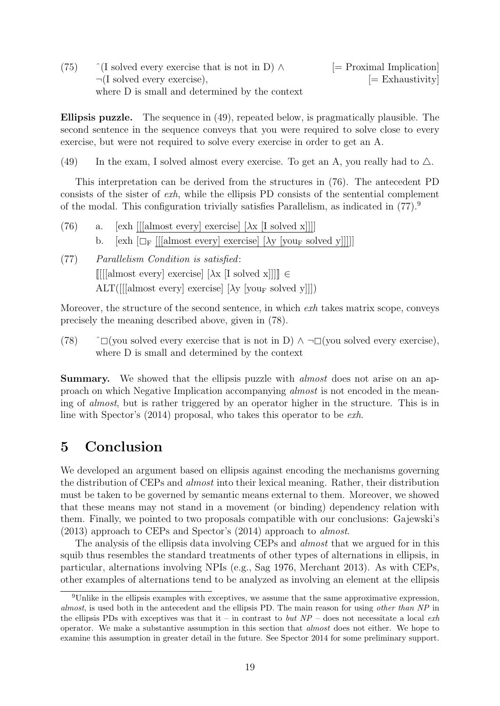(75)  $\hat{ }$  (I solved every exercise that is not in D)  $\wedge$  [= Proximal Implication]  $\neg$ (I solved every exercise),  $\qquad \qquad \qquad \Box$ where D is small and determined by the context

Ellipsis puzzle. The sequence in (49), repeated below, is pragmatically plausible. The second sentence in the sequence conveys that you were required to solve close to every exercise, but were not required to solve every exercise in order to get an A.

(49) In the exam, I solved almost every exercise. To get an A, you really had to  $\triangle$ .

This interpretation can be derived from the structures in (76). The antecedent PD consists of the sister of exh, while the ellipsis PD consists of the sentential complement of the modal. This configuration trivially satisfies Parallelism, as indicated in (77).<sup>9</sup>

(76) a. [exh [[[almost every] exercise]  $[\lambda x$  [I solved x]]]] b. [exh  $\left[\Box_{\mathrm{F}}\right]$  [[[almost every] exercise]  $[\lambda y]$  [you<sub>F</sub> solved y]]]]]

(77) Parallelism Condition is satisfied:  $[[[[\text{almost every}] \text{ exercise}] [\lambda x [I \text{ solved } x]]]] \in$  $\text{ALT}([[{\text{almost every}}]$  exercise]  $[\lambda y \text{ [you_F solved y]]])$ 

Moreover, the structure of the second sentence, in which *exh* takes matrix scope, conveys precisely the meaning described above, given in (78).

(78)  $\hat{ }$   $\Box$ (you solved every exercise that is not in D)  $\land \neg \Box$ (you solved every exercise), where D is small and determined by the context

Summary. We showed that the ellipsis puzzle with *almost* does not arise on an approach on which Negative Implication accompanying almost is not encoded in the meaning of almost, but is rather triggered by an operator higher in the structure. This is in line with Spector's (2014) proposal, who takes this operator to be exh.

## 5 Conclusion

We developed an argument based on ellipsis against encoding the mechanisms governing the distribution of CEPs and almost into their lexical meaning. Rather, their distribution must be taken to be governed by semantic means external to them. Moreover, we showed that these means may not stand in a movement (or binding) dependency relation with them. Finally, we pointed to two proposals compatible with our conclusions: Gajewski's (2013) approach to CEPs and Spector's (2014) approach to almost.

The analysis of the ellipsis data involving CEPs and *almost* that we argued for in this squib thus resembles the standard treatments of other types of alternations in ellipsis, in particular, alternations involving NPIs (e.g., Sag 1976, Merchant 2013). As with CEPs, other examples of alternations tend to be analyzed as involving an element at the ellipsis

 $9$ Unlike in the ellipsis examples with exceptives, we assume that the same approximative expression, almost, is used both in the antecedent and the ellipsis PD. The main reason for using other than NP in the ellipsis PDs with exceptives was that it – in contrast to but  $NP$  – does not necessitate a local exh operator. We make a substantive assumption in this section that almost does not either. We hope to examine this assumption in greater detail in the future. See Spector 2014 for some preliminary support.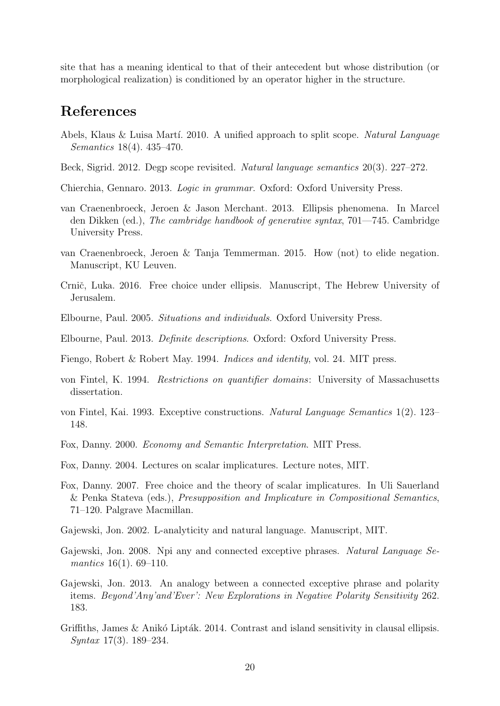site that has a meaning identical to that of their antecedent but whose distribution (or morphological realization) is conditioned by an operator higher in the structure.

### References

- Abels, Klaus & Luisa Martí. 2010. A unified approach to split scope. Natural Language Semantics 18(4). 435–470.
- Beck, Sigrid. 2012. Degp scope revisited. Natural language semantics 20(3). 227–272.
- Chierchia, Gennaro. 2013. Logic in grammar. Oxford: Oxford University Press.
- van Craenenbroeck, Jeroen & Jason Merchant. 2013. Ellipsis phenomena. In Marcel den Dikken (ed.), The cambridge handbook of generative syntax, 701—745. Cambridge University Press.
- van Craenenbroeck, Jeroen & Tanja Temmerman. 2015. How (not) to elide negation. Manuscript, KU Leuven.
- Crnič, Luka. 2016. Free choice under ellipsis. Manuscript, The Hebrew University of Jerusalem.
- Elbourne, Paul. 2005. Situations and individuals. Oxford University Press.
- Elbourne, Paul. 2013. Definite descriptions. Oxford: Oxford University Press.
- Fiengo, Robert & Robert May. 1994. *Indices and identity*, vol. 24. MIT press.
- von Fintel, K. 1994. Restrictions on quantifier domains: University of Massachusetts dissertation.
- von Fintel, Kai. 1993. Exceptive constructions. Natural Language Semantics 1(2). 123– 148.
- Fox, Danny. 2000. Economy and Semantic Interpretation. MIT Press.
- Fox, Danny. 2004. Lectures on scalar implicatures. Lecture notes, MIT.
- Fox, Danny. 2007. Free choice and the theory of scalar implicatures. In Uli Sauerland & Penka Stateva (eds.), Presupposition and Implicature in Compositional Semantics, 71–120. Palgrave Macmillan.
- Gajewski, Jon. 2002. L-analyticity and natural language. Manuscript, MIT.
- Gajewski, Jon. 2008. Npi any and connected exceptive phrases. Natural Language Semantics 16(1). 69–110.
- Gajewski, Jon. 2013. An analogy between a connected exceptive phrase and polarity items. Beyond'Any'and'Ever': New Explorations in Negative Polarity Sensitivity 262. 183.
- Griffiths, James  $\&$  Anikó Lipták. 2014. Contrast and island sensitivity in clausal ellipsis. Syntax 17(3). 189–234.